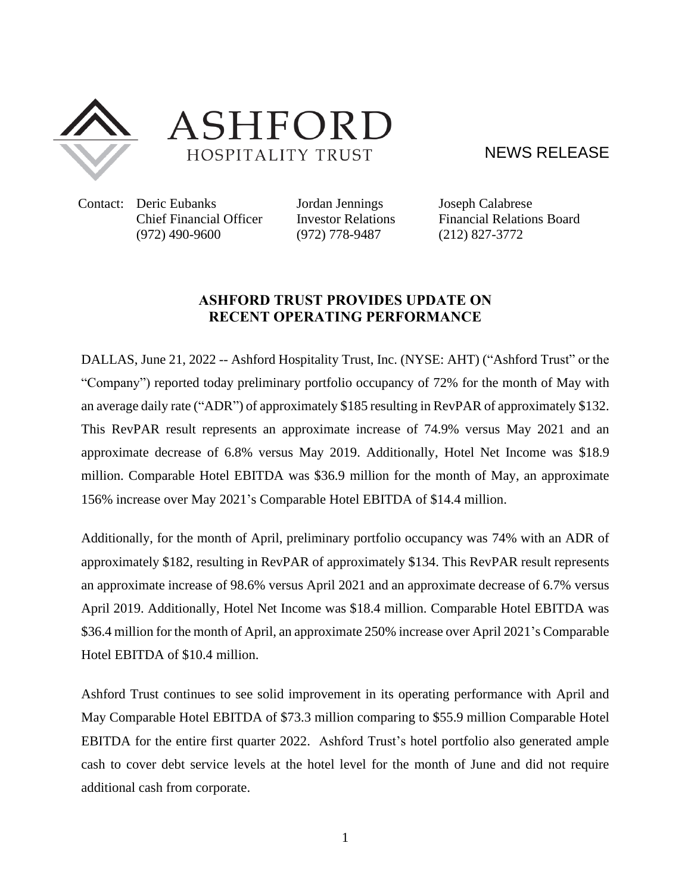

ASHFORD HOSPITALITY TRUST

NEWS RELEASE

Contact: Deric Eubanks Jordan Jennings Joseph Calabrese (972) 490-9600 (972) 778-9487 (212) 827-3772

Chief Financial Officer Investor Relations Financial Relations Board

## **ASHFORD TRUST PROVIDES UPDATE ON RECENT OPERATING PERFORMANCE**

DALLAS, June 21, 2022 -- Ashford Hospitality Trust, Inc. (NYSE: [AHT\)](http://studio-5.financialcontent.com/prnews?Page=Quote&Ticker=AHT) ("Ashford Trust" or the "Company") reported today preliminary portfolio occupancy of 72% for the month of May with an average daily rate ("ADR") of approximately \$185 resulting in RevPAR of approximately \$132. This RevPAR result represents an approximate increase of 74.9% versus May 2021 and an approximate decrease of 6.8% versus May 2019. Additionally, Hotel Net Income was \$18.9 million. Comparable Hotel EBITDA was \$36.9 million for the month of May, an approximate 156% increase over May 2021's Comparable Hotel EBITDA of \$14.4 million.

Additionally, for the month of April, preliminary portfolio occupancy was 74% with an ADR of approximately \$182, resulting in RevPAR of approximately \$134. This RevPAR result represents an approximate increase of 98.6% versus April 2021 and an approximate decrease of 6.7% versus April 2019. Additionally, Hotel Net Income was \$18.4 million. Comparable Hotel EBITDA was \$36.4 million for the month of April, an approximate 250% increase over April 2021's Comparable Hotel EBITDA of \$10.4 million.

Ashford Trust continues to see solid improvement in its operating performance with April and May Comparable Hotel EBITDA of \$73.3 million comparing to \$55.9 million Comparable Hotel EBITDA for the entire first quarter 2022. Ashford Trust's hotel portfolio also generated ample cash to cover debt service levels at the hotel level for the month of June and did not require additional cash from corporate.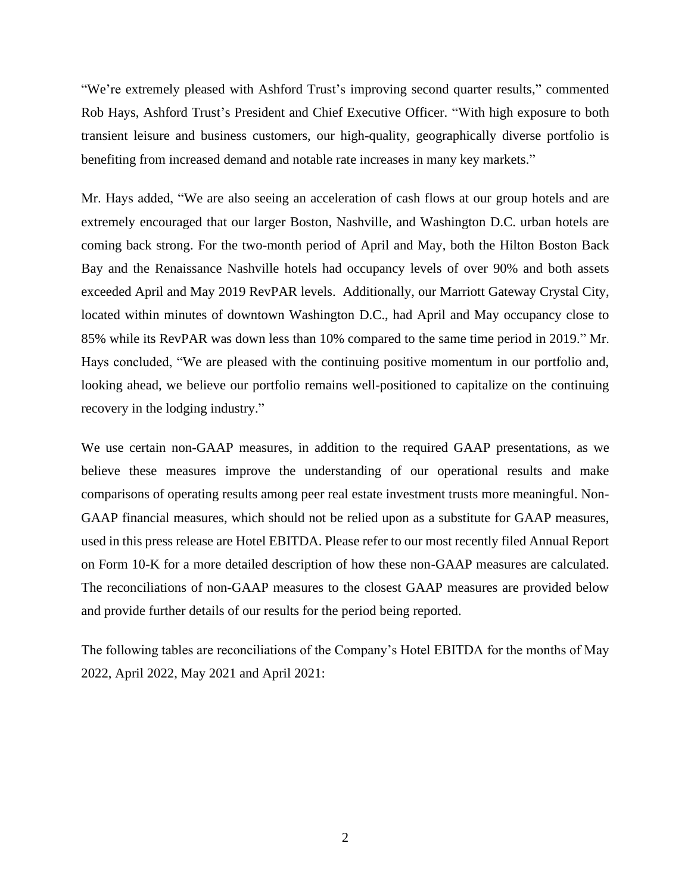"We're extremely pleased with Ashford Trust's improving second quarter results," commented Rob Hays, Ashford Trust's President and Chief Executive Officer. "With high exposure to both transient leisure and business customers, our high-quality, geographically diverse portfolio is benefiting from increased demand and notable rate increases in many key markets."

Mr. Hays added, "We are also seeing an acceleration of cash flows at our group hotels and are extremely encouraged that our larger Boston, Nashville, and Washington D.C. urban hotels are coming back strong. For the two-month period of April and May, both the Hilton Boston Back Bay and the Renaissance Nashville hotels had occupancy levels of over 90% and both assets exceeded April and May 2019 RevPAR levels. Additionally, our Marriott Gateway Crystal City, located within minutes of downtown Washington D.C., had April and May occupancy close to 85% while its RevPAR was down less than 10% compared to the same time period in 2019." Mr. Hays concluded, "We are pleased with the continuing positive momentum in our portfolio and, looking ahead, we believe our portfolio remains well-positioned to capitalize on the continuing recovery in the lodging industry."

We use certain non-GAAP measures, in addition to the required GAAP presentations, as we believe these measures improve the understanding of our operational results and make comparisons of operating results among peer real estate investment trusts more meaningful. Non-GAAP financial measures, which should not be relied upon as a substitute for GAAP measures, used in this press release are Hotel EBITDA. Please refer to our most recently filed Annual Report on Form 10-K for a more detailed description of how these non-GAAP measures are calculated. The reconciliations of non-GAAP measures to the closest GAAP measures are provided below and provide further details of our results for the period being reported.

The following tables are reconciliations of the Company's Hotel EBITDA for the months of May 2022, April 2022, May 2021 and April 2021: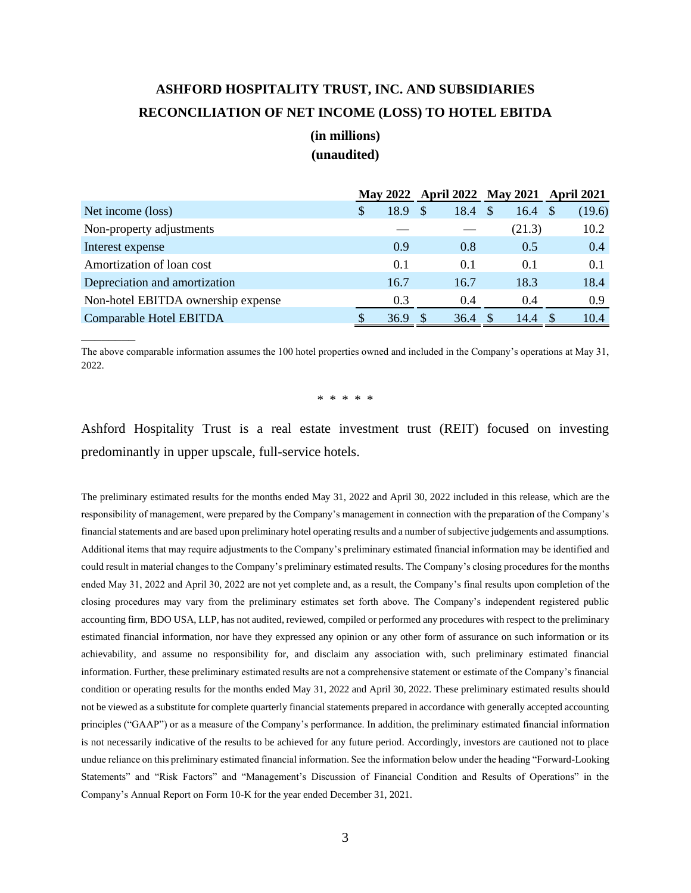## **ASHFORD HOSPITALITY TRUST, INC. AND SUBSIDIARIES RECONCILIATION OF NET INCOME (LOSS) TO HOTEL EBITDA**

## **(in millions) (unaudited)**

|                                    |   |      | May 2022 April 2022 May 2021 April 2021 |      |              |                    |        |
|------------------------------------|---|------|-----------------------------------------|------|--------------|--------------------|--------|
| Net income (loss)                  | S | 18.9 |                                         | 18.4 | <sup>S</sup> | $16.4 \text{ }$ \$ | (19.6) |
| Non-property adjustments           |   |      |                                         |      |              | (21.3)             | 10.2   |
| Interest expense                   |   | 0.9  |                                         | 0.8  |              | 0.5                | 0.4    |
| Amortization of loan cost          |   | 0.1  |                                         | 0.1  |              | 0.1                | 0.1    |
| Depreciation and amortization      |   | 16.7 | 16.7                                    |      |              | 18.3               | 18.4   |
| Non-hotel EBITDA ownership expense |   | 0.3  |                                         | 0.4  |              | 0.4                | 0.9    |
| Comparable Hotel EBITDA            |   | 36.9 |                                         | 36.4 |              | 14.4               | 10.4   |

The above comparable information assumes the 100 hotel properties owned and included in the Company's operations at May 31, 2022.

 $\overline{\phantom{a}}$  . The set of the set of the set of the set of the set of the set of the set of the set of the set of the set of the set of the set of the set of the set of the set of the set of the set of the set of the set o

\* \* \* \* \*

Ashford Hospitality Trust is a real estate investment trust (REIT) focused on investing predominantly in upper upscale, full-service hotels.

The preliminary estimated results for the months ended May 31, 2022 and April 30, 2022 included in this release, which are the responsibility of management, were prepared by the Company's management in connection with the preparation of the Company's financial statements and are based upon preliminary hotel operating results and a number of subjective judgements and assumptions. Additional items that may require adjustments to the Company's preliminary estimated financial information may be identified and could result in material changes to the Company's preliminary estimated results. The Company's closing procedures for the months ended May 31, 2022 and April 30, 2022 are not yet complete and, as a result, the Company's final results upon completion of the closing procedures may vary from the preliminary estimates set forth above. The Company's independent registered public accounting firm, BDO USA, LLP, has not audited, reviewed, compiled or performed any procedures with respect to the preliminary estimated financial information, nor have they expressed any opinion or any other form of assurance on such information or its achievability, and assume no responsibility for, and disclaim any association with, such preliminary estimated financial information. Further, these preliminary estimated results are not a comprehensive statement or estimate of the Company's financial condition or operating results for the months ended May 31, 2022 and April 30, 2022. These preliminary estimated results should not be viewed as a substitute for complete quarterly financial statements prepared in accordance with generally accepted accounting principles ("GAAP") or as a measure of the Company's performance. In addition, the preliminary estimated financial information is not necessarily indicative of the results to be achieved for any future period. Accordingly, investors are cautioned not to place undue reliance on this preliminary estimated financial information. See the information below under the heading "Forward-Looking Statements" and "Risk Factors" and "Management's Discussion of Financial Condition and Results of Operations" in the Company's Annual Report on Form 10-K for the year ended December 31, 2021.